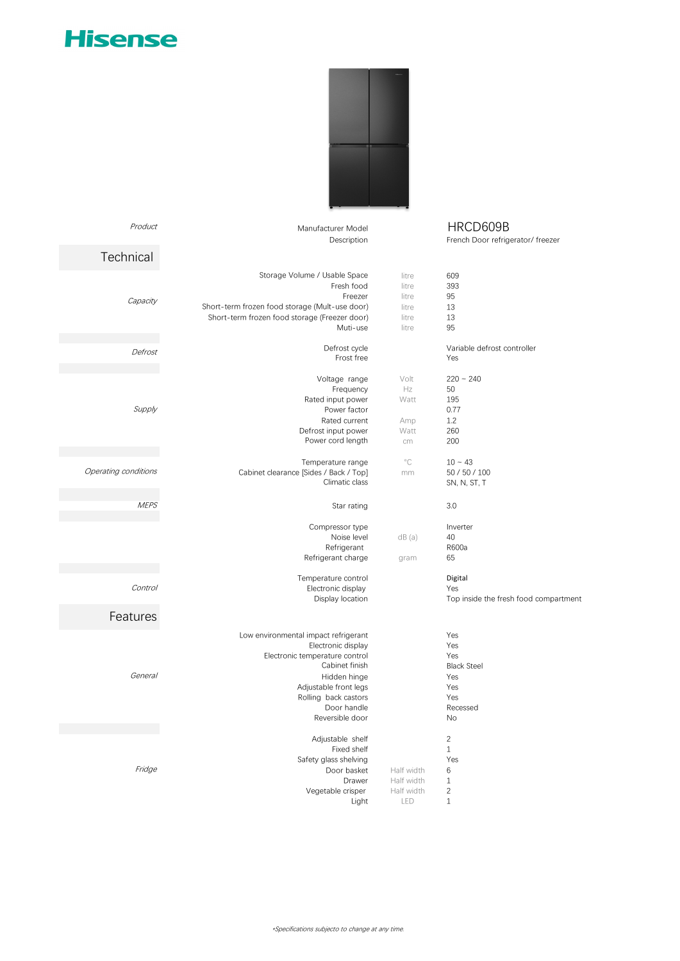## **Hisense**



| HRCD609B<br>French Door refrigerator/ freezer                                                |                                                    | Manufacturer Model                                                                                                                                                                                                | Product                    |
|----------------------------------------------------------------------------------------------|----------------------------------------------------|-------------------------------------------------------------------------------------------------------------------------------------------------------------------------------------------------------------------|----------------------------|
|                                                                                              |                                                    | Description                                                                                                                                                                                                       | Technical                  |
| 609<br>393<br>95<br>13<br>13<br>95                                                           | litre<br>litre<br>litre<br>litre<br>litre<br>litre | Storage Volume / Usable Space<br>Fresh food<br>Freezer<br>Short-term frozen food storage (Mult-use door)<br>Short-term frozen food storage (Freezer door)<br>Muti-use                                             | Capacity                   |
| Variable defrost controller<br>Yes                                                           |                                                    | Defrost cycle<br>Frost free                                                                                                                                                                                       | Defrost                    |
| $220 - 240$<br>50<br>195<br>0.77<br>1.2<br>260<br>200                                        | Volt<br>Hz<br>Watt<br>Amp<br>Watt<br>cm            | Voltage range<br>Frequency<br>Rated input power<br>Power factor<br>Rated current<br>Defrost input power<br>Power cord length                                                                                      | Supply                     |
| $10 - 43$<br>50 / 50 / 100<br>SN, N, ST, T                                                   | $^{\circ}C$<br>mm                                  | Temperature range<br>Cabinet clearance [Sides / Back / Top]<br>Climatic class                                                                                                                                     | Operating conditions       |
| 3.0                                                                                          |                                                    | Star rating                                                                                                                                                                                                       | <b>MEPS</b>                |
| Inverter<br>40<br>R600a<br>65<br>Digital<br>Yes                                              | dB(a)<br>gram                                      | Compressor type<br>Noise level<br>Refrigerant<br>Refrigerant charge<br>Temperature control<br>Electronic display                                                                                                  | Control                    |
| Top inside the fresh food compartment                                                        |                                                    | Display location                                                                                                                                                                                                  |                            |
| Yes<br>Yes<br>Yes<br><b>Black Steel</b><br>Yes<br>Yes<br>Yes<br>Recessed<br>No               |                                                    | Low environmental impact refrigerant<br>Electronic display<br>Electronic temperature control<br>Cabinet finish<br>Hidden hinge<br>Adjustable front legs<br>Rolling back castors<br>Door handle<br>Reversible door | Features<br><b>General</b> |
| $\overline{c}$<br>$\mathbf{1}$<br>Yes<br>6<br>$\mathbf{1}$<br>$\overline{c}$<br>$\mathbf{1}$ | Half width<br>Half width<br>Half width<br>LED      | Adjustable shelf<br>Fixed shelf<br>Safety glass shelving<br>Door basket<br>Drawer<br>Vegetable crisper<br>Light                                                                                                   | Fridge                     |

\*Specifications subjecto to change at any time.